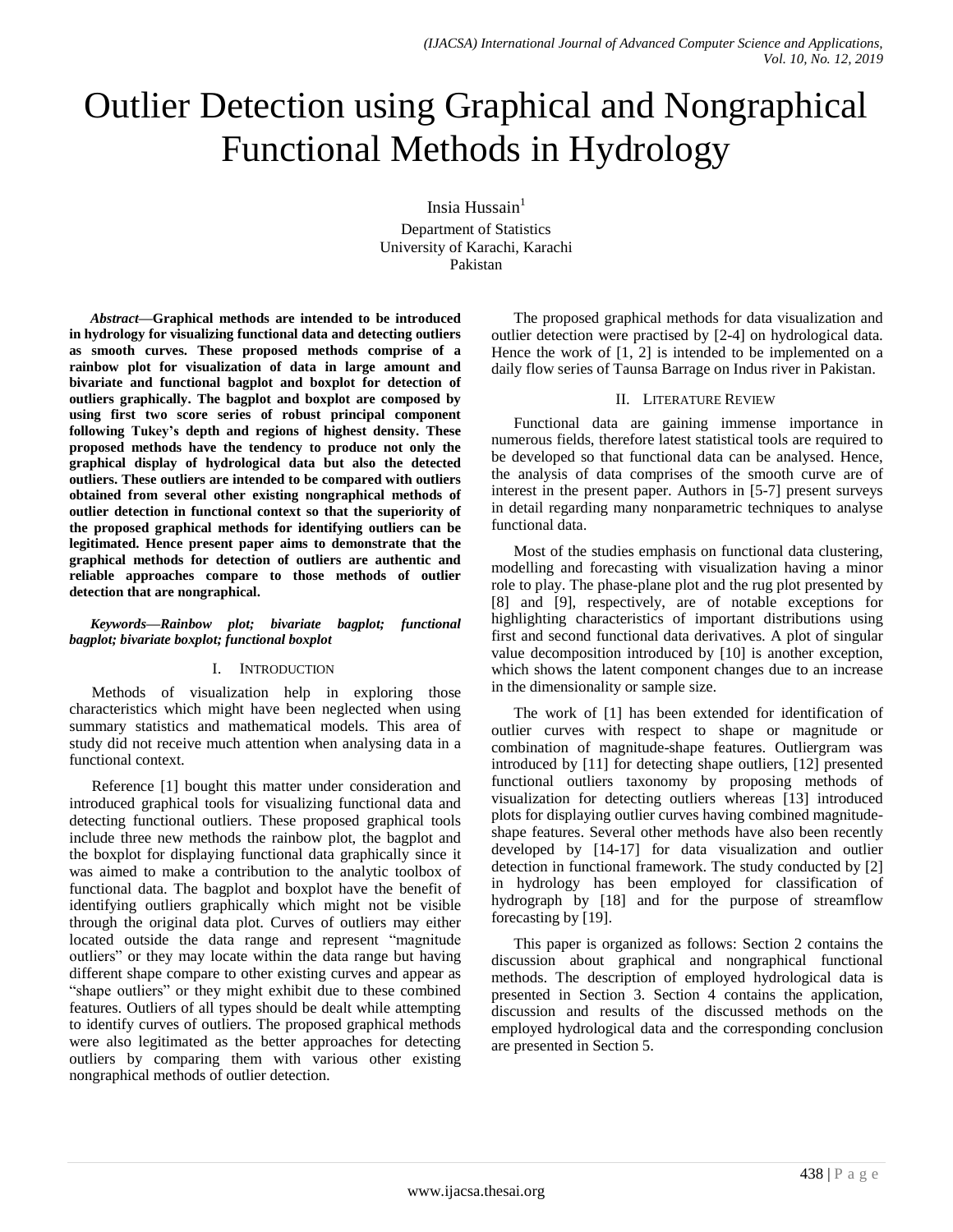# Outlier Detection using Graphical and Nongraphical Functional Methods in Hydrology

Insia Hussain<sup>1</sup> Department of Statistics University of Karachi, Karachi Pakistan

*Abstract***—Graphical methods are intended to be introduced in hydrology for visualizing functional data and detecting outliers as smooth curves. These proposed methods comprise of a rainbow plot for visualization of data in large amount and bivariate and functional bagplot and boxplot for detection of outliers graphically. The bagplot and boxplot are composed by using first two score series of robust principal component following Tukey's depth and regions of highest density. These proposed methods have the tendency to produce not only the graphical display of hydrological data but also the detected outliers. These outliers are intended to be compared with outliers obtained from several other existing nongraphical methods of outlier detection in functional context so that the superiority of the proposed graphical methods for identifying outliers can be legitimated. Hence present paper aims to demonstrate that the graphical methods for detection of outliers are authentic and reliable approaches compare to those methods of outlier detection that are nongraphical.**

## *Keywords—Rainbow plot; bivariate bagplot; functional bagplot; bivariate boxplot; functional boxplot*

## I. INTRODUCTION

Methods of visualization help in exploring those characteristics which might have been neglected when using summary statistics and mathematical models. This area of study did not receive much attention when analysing data in a functional context.

Reference [1] bought this matter under consideration and introduced graphical tools for visualizing functional data and detecting functional outliers. These proposed graphical tools include three new methods the rainbow plot, the bagplot and the boxplot for displaying functional data graphically since it was aimed to make a contribution to the analytic toolbox of functional data. The bagplot and boxplot have the benefit of identifying outliers graphically which might not be visible through the original data plot. Curves of outliers may either located outside the data range and represent "magnitude outliers" or they may locate within the data range but having different shape compare to other existing curves and appear as "shape outliers" or they might exhibit due to these combined features. Outliers of all types should be dealt while attempting to identify curves of outliers. The proposed graphical methods were also legitimated as the better approaches for detecting outliers by comparing them with various other existing nongraphical methods of outlier detection.

The proposed graphical methods for data visualization and outlier detection were practised by [2-4] on hydrological data. Hence the work of [1, 2] is intended to be implemented on a daily flow series of Taunsa Barrage on Indus river in Pakistan.

## II. LITERATURE REVIEW

Functional data are gaining immense importance in numerous fields, therefore latest statistical tools are required to be developed so that functional data can be analysed. Hence, the analysis of data comprises of the smooth curve are of interest in the present paper. Authors in [5-7] present surveys in detail regarding many nonparametric techniques to analyse functional data.

Most of the studies emphasis on functional data clustering, modelling and forecasting with visualization having a minor role to play. The phase-plane plot and the rug plot presented by [8] and [9], respectively, are of notable exceptions for highlighting characteristics of important distributions using first and second functional data derivatives. A plot of singular value decomposition introduced by [10] is another exception, which shows the latent component changes due to an increase in the dimensionality or sample size.

The work of [1] has been extended for identification of outlier curves with respect to shape or magnitude or combination of magnitude-shape features. Outliergram was introduced by [11] for detecting shape outliers, [12] presented functional outliers taxonomy by proposing methods of visualization for detecting outliers whereas [13] introduced plots for displaying outlier curves having combined magnitudeshape features. Several other methods have also been recently developed by [14-17] for data visualization and outlier detection in functional framework. The study conducted by [2] in hydrology has been employed for classification of hydrograph by [18] and for the purpose of streamflow forecasting by [19].

This paper is organized as follows: Section 2 contains the discussion about graphical and nongraphical functional methods. The description of employed hydrological data is presented in Section 3. Section 4 contains the application, discussion and results of the discussed methods on the employed hydrological data and the corresponding conclusion are presented in Section 5.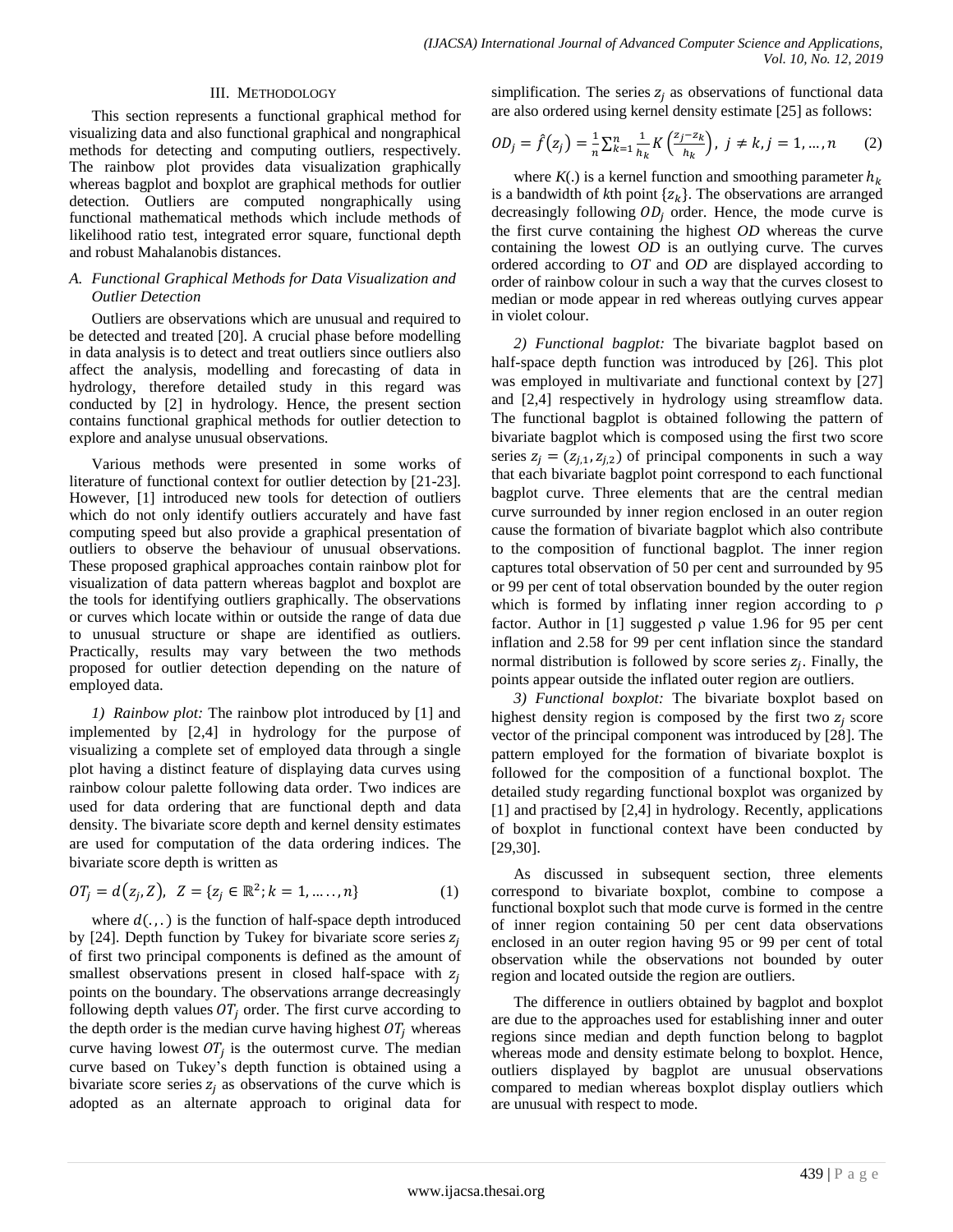#### III. METHODOLOGY

This section represents a functional graphical method for visualizing data and also functional graphical and nongraphical methods for detecting and computing outliers, respectively. The rainbow plot provides data visualization graphically whereas bagplot and boxplot are graphical methods for outlier detection. Outliers are computed nongraphically using functional mathematical methods which include methods of likelihood ratio test, integrated error square, functional depth and robust Mahalanobis distances.

## *A. Functional Graphical Methods for Data Visualization and Outlier Detection*

Outliers are observations which are unusual and required to be detected and treated [20]. A crucial phase before modelling in data analysis is to detect and treat outliers since outliers also affect the analysis, modelling and forecasting of data in hydrology, therefore detailed study in this regard was conducted by [2] in hydrology. Hence, the present section contains functional graphical methods for outlier detection to explore and analyse unusual observations.

Various methods were presented in some works of literature of functional context for outlier detection by [21-23]. However, [1] introduced new tools for detection of outliers which do not only identify outliers accurately and have fast computing speed but also provide a graphical presentation of outliers to observe the behaviour of unusual observations. These proposed graphical approaches contain rainbow plot for visualization of data pattern whereas bagplot and boxplot are the tools for identifying outliers graphically. The observations or curves which locate within or outside the range of data due to unusual structure or shape are identified as outliers. Practically, results may vary between the two methods proposed for outlier detection depending on the nature of employed data.

*1) Rainbow plot:* The rainbow plot introduced by [1] and implemented by [2,4] in hydrology for the purpose of visualizing a complete set of employed data through a single plot having a distinct feature of displaying data curves using rainbow colour palette following data order. Two indices are used for data ordering that are functional depth and data density. The bivariate score depth and kernel density estimates are used for computation of the data ordering indices. The bivariate score depth is written as

$$
OTi = d(zi, Z), Z = {zi \in \mathbb{R}^2; k = 1, ..., n}
$$
 (1)

where  $d(.)$  is the function of half-space depth introduced by [24]. Depth function by Tukey for bivariate score series  $z_i$ of first two principal components is defined as the amount of smallest observations present in closed half-space with  $z_i$ points on the boundary. The observations arrange decreasingly following depth values  $OT<sub>j</sub>$  order. The first curve according to the depth order is the median curve having highest  $OT_i$  whereas curve having lowest  $OT<sub>i</sub>$  is the outermost curve. The median curve based on Tukey's depth function is obtained using a bivariate score series  $z_i$  as observations of the curve which is adopted as an alternate approach to original data for simplification. The series  $z_i$  as observations of functional data are also ordered using kernel density estimate [25] as follows:

$$
OD_j = \hat{f}(z_j) = \frac{1}{n} \sum_{k=1}^n \frac{1}{h_k} K\left(\frac{z_j - z_k}{h_k}\right), \ j \neq k, j = 1, ..., n \tag{2}
$$

where  $K(.)$  is a kernel function and smoothing parameter  $h_k$ is a bandwidth of  $k$ th point  $\{z_k\}$ . The observations are arranged decreasingly following  $OD<sub>i</sub>$  order. Hence, the mode curve is the first curve containing the highest *OD* whereas the curve containing the lowest *OD* is an outlying curve. The curves ordered according to *OT* and *OD* are displayed according to order of rainbow colour in such a way that the curves closest to median or mode appear in red whereas outlying curves appear in violet colour.

*2) Functional bagplot:* The bivariate bagplot based on half-space depth function was introduced by [26]. This plot was employed in multivariate and functional context by [27] and [2,4] respectively in hydrology using streamflow data. The functional bagplot is obtained following the pattern of bivariate bagplot which is composed using the first two score series  $z_i = (z_{i,1}, z_{i,2})$  of principal components in such a way that each bivariate bagplot point correspond to each functional bagplot curve. Three elements that are the central median curve surrounded by inner region enclosed in an outer region cause the formation of bivariate bagplot which also contribute to the composition of functional bagplot. The inner region captures total observation of 50 per cent and surrounded by 95 or 99 per cent of total observation bounded by the outer region which is formed by inflating inner region according to ρ factor. Author in [1] suggested  $\rho$  value 1.96 for 95 per cent inflation and 2.58 for 99 per cent inflation since the standard normal distribution is followed by score series  $z_i$ . Finally, the points appear outside the inflated outer region are outliers.

*3) Functional boxplot:* The bivariate boxplot based on highest density region is composed by the first two  $z_i$  score vector of the principal component was introduced by [28]. The pattern employed for the formation of bivariate boxplot is followed for the composition of a functional boxplot. The detailed study regarding functional boxplot was organized by [1] and practised by [2,4] in hydrology. Recently, applications of boxplot in functional context have been conducted by [29,30].

As discussed in subsequent section, three elements correspond to bivariate boxplot, combine to compose a functional boxplot such that mode curve is formed in the centre of inner region containing 50 per cent data observations enclosed in an outer region having 95 or 99 per cent of total observation while the observations not bounded by outer region and located outside the region are outliers.

The difference in outliers obtained by bagplot and boxplot are due to the approaches used for establishing inner and outer regions since median and depth function belong to bagplot whereas mode and density estimate belong to boxplot. Hence, outliers displayed by bagplot are unusual observations compared to median whereas boxplot display outliers which are unusual with respect to mode.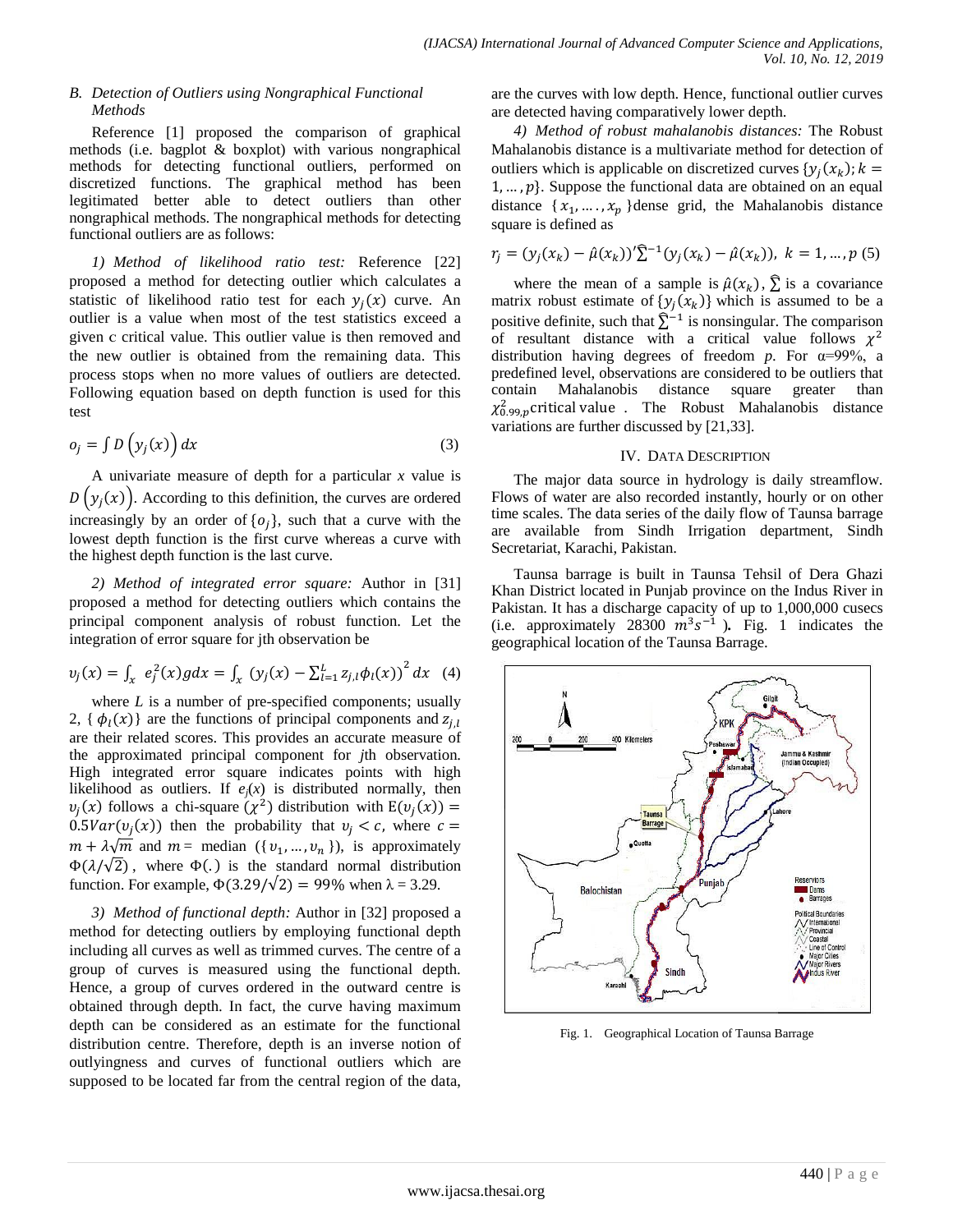## *B. Detection of Outliers using Nongraphical Functional Methods*

Reference [1] proposed the comparison of graphical methods (i.e. bagplot & boxplot) with various nongraphical methods for detecting functional outliers, performed on discretized functions. The graphical method has been legitimated better able to detect outliers than other nongraphical methods. The nongraphical methods for detecting functional outliers are as follows:

*1) Method of likelihood ratio test:* Reference [22] proposed a method for detecting outlier which calculates a statistic of likelihood ratio test for each  $y_i(x)$  curve. An outlier is a value when most of the test statistics exceed a given c critical value. This outlier value is then removed and the new outlier is obtained from the remaining data. This process stops when no more values of outliers are detected. Following equation based on depth function is used for this test

$$
o_j = \int D\left(y_j(x)\right) dx\tag{3}
$$

A univariate measure of depth for a particular *x* value is  $D(y_i(x))$ . According to this definition, the curves are ordered increasingly by an order of  $\{o_i\}$ , such that a curve with the lowest depth function is the first curve whereas a curve with the highest depth function is the last curve.

*2) Method of integrated error square:* Author in [31] proposed a method for detecting outliers which contains the principal component analysis of robust function. Let the integration of error square for jth observation be

$$
v_j(x) = \int_x e_j^2(x)g dx = \int_x (y_j(x) - \sum_{l=1}^L z_{j,l} \phi_l(x))^2 dx
$$
 (4)

where *L* is a number of pre-specified components; usually 2, { $\phi_l(x)$ } are the functions of principal components and  $z_{i,l}$ are their related scores. This provides an accurate measure of the approximated principal component for *j*th observation. High integrated error square indicates points with high likelihood as outliers. If  $e_j(x)$  is distributed normally, then  $v_i(x)$  follows a chi-square  $(\chi^2)$  distribution with  $E(v_i(x))$  $0.5Var(v_i(x))$  then the probability that  $v_i < c$ , where c  $m + \lambda \sqrt{m}$  and  $m =$  median  $({v_1, ..., v_n})$ , is approximately  $\Phi(\lambda/\sqrt{2})$ , where  $\Phi(.)$  is the standard normal distribution function. For example,  $\Phi(3.29/\sqrt{2}) = 99\%$  when  $\lambda = 3.29$ .

*3) Method of functional depth:* Author in [32] proposed a method for detecting outliers by employing functional depth including all curves as well as trimmed curves. The centre of a group of curves is measured using the functional depth. Hence, a group of curves ordered in the outward centre is obtained through depth. In fact, the curve having maximum depth can be considered as an estimate for the functional distribution centre. Therefore, depth is an inverse notion of outlyingness and curves of functional outliers which are supposed to be located far from the central region of the data,

are the curves with low depth. Hence, functional outlier curves are detected having comparatively lower depth.

*4) Method of robust mahalanobis distances:* The Robust Mahalanobis distance is a multivariate method for detection of outliers which is applicable on discretized curves  $\{y_i(x_k)\}$  $1, \ldots, p$ . Suppose the functional data are obtained on an equal distance  $\{x_1, \ldots, x_n\}$ dense grid, the Mahalanobis distance square is defined as

$$
r_j = (y_j(x_k) - \hat{\mu}(x_k))'\hat{\Sigma}^{-1}(y_j(x_k) - \hat{\mu}(x_k)), \ k = 1, ..., p (5)
$$

where the mean of a sample is  $\hat{\mu}(x_k)$ ,  $\sum$  is a covariance matrix robust estimate of  $\{y_i(x_k)\}\$  which is assumed to be a positive definite, such that  $\sum_{n=1}^{\infty}$  is nonsingular. The comparison of resultant distance with a critical value follows  $\chi^2$ distribution having degrees of freedom *p*. For α=99%, a predefined level, observations are considered to be outliers that contain Mahalanobis distance square greater than  $\chi_{0.99, p}^2$  critical value. The Robust Mahalanobis distance variations are further discussed by [21,33].

## IV. DATA DESCRIPTION

The major data source in hydrology is daily streamflow. Flows of water are also recorded instantly, hourly or on other time scales. The data series of the daily flow of Taunsa barrage are available from Sindh Irrigation department, Sindh Secretariat, Karachi, Pakistan.

Taunsa barrage is built in [Taunsa](https://en.wikipedia.org/wiki/Taunsa_Tehsil) Tehsil of Dera [Ghazi](https://en.wikipedia.org/wiki/Dera_Ghazi_Khan_District) Khan [District](https://en.wikipedia.org/wiki/Dera_Ghazi_Khan_District) located in Punjab province on the Indus River in [Pakistan.](https://en.wikipedia.org/wiki/Pakistan) It has a discharge capacity of up to 1,000,000 cusecs (i.e. approximately 28300  $\overline{m}^3 s^{-1}$ ). Fig. 1 indicates the geographical location of the Taunsa Barrage.



Fig. 1. Geographical Location of Taunsa Barrage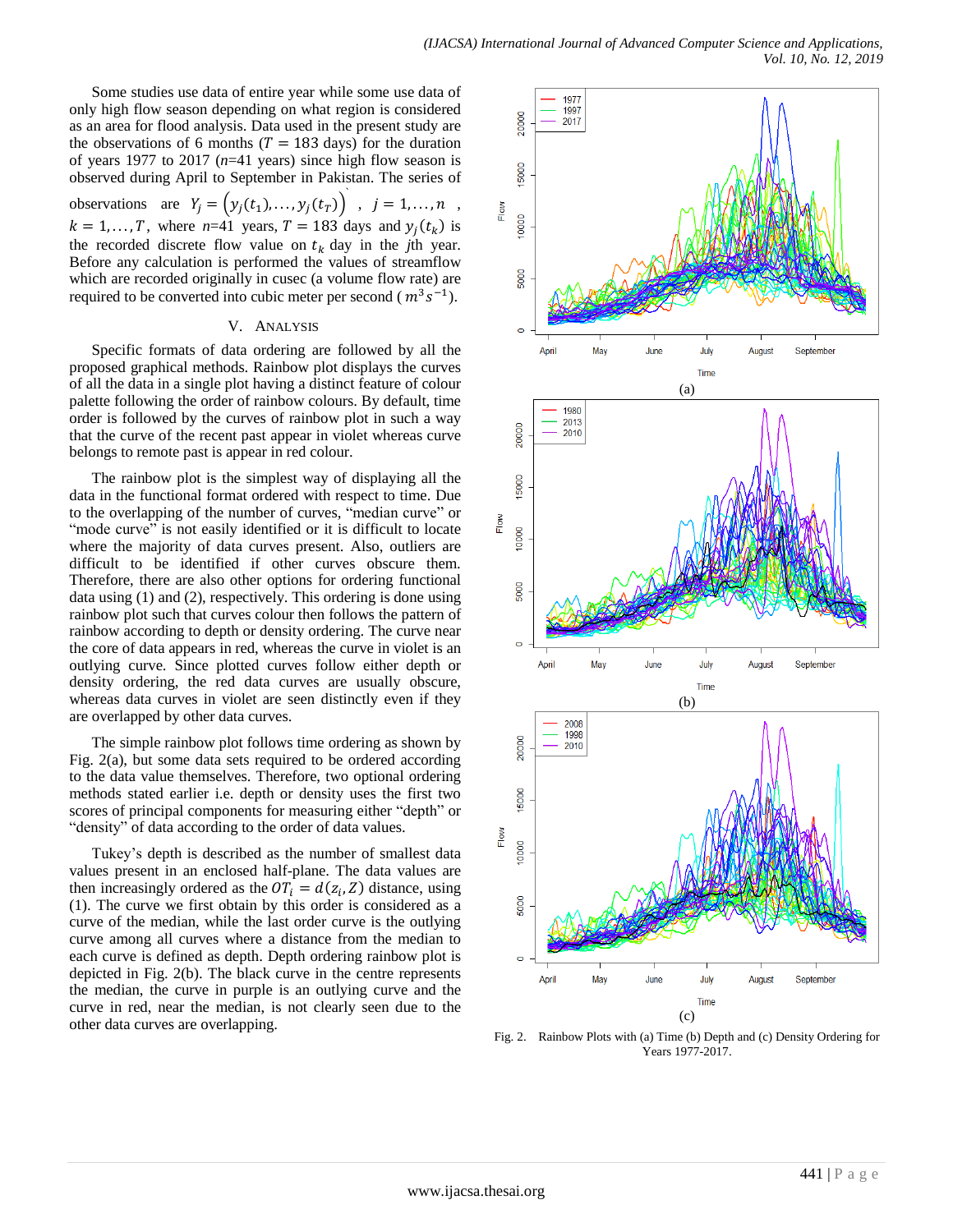Some studies use data of entire year while some use data of only high flow season depending on what region is considered as an area for flood analysis. Data used in the present study are the observations of 6 months ( $T = 183$  days) for the duration of years 1977 to 2017 (*n*=41 years) since high flow season is observed during April to September in Pakistan. The series of observations are  $Y_i = (y_i(t_1), \dots, y_i(t_T))$ ,  $j = 1, \dots, n$ ,  $k = 1, \dots, T$ , where  $n=41$  years,  $T = 183$  days and  $y_i(t_k)$  is the recorded discrete flow value on  $t_k$  day in the *j*th year. Before any calculation is performed the values of streamflow which are recorded originally in cusec (a volume flow rate) are required to be converted into cubic meter per second ( $m^3 s^{-1}$ ).

#### V. ANALYSIS

Specific formats of data ordering are followed by all the proposed graphical methods. Rainbow plot displays the curves of all the data in a single plot having a distinct feature of colour palette following the order of rainbow colours. By default, time order is followed by the curves of rainbow plot in such a way that the curve of the recent past appear in violet whereas curve belongs to remote past is appear in red colour.

The rainbow plot is the simplest way of displaying all the data in the functional format ordered with respect to time. Due to the overlapping of the number of curves, "median curve" or "mode curve" is not easily identified or it is difficult to locate where the majority of data curves present. Also, outliers are difficult to be identified if other curves obscure them. Therefore, there are also other options for ordering functional data using (1) and (2), respectively. This ordering is done using rainbow plot such that curves colour then follows the pattern of rainbow according to depth or density ordering. The curve near the core of data appears in red, whereas the curve in violet is an outlying curve. Since plotted curves follow either depth or density ordering, the red data curves are usually obscure, whereas data curves in violet are seen distinctly even if they are overlapped by other data curves.

The simple rainbow plot follows time ordering as shown by Fig. 2(a), but some data sets required to be ordered according to the data value themselves. Therefore, two optional ordering methods stated earlier i.e. depth or density uses the first two scores of principal components for measuring either "depth" or "density" of data according to the order of data values.

Tukey's depth is described as the number of smallest data values present in an enclosed half-plane. The data values are then increasingly ordered as the  $OT_i = d(z_i, Z)$  distance, using (1). The curve we first obtain by this order is considered as a curve of the median, while the last order curve is the outlying curve among all curves where a distance from the median to each curve is defined as depth. Depth ordering rainbow plot is depicted in Fig. 2(b). The black curve in the centre represents the median, the curve in purple is an outlying curve and the curve in red, near the median, is not clearly seen due to the other data curves are overlapping.



Fig. 2. Rainbow Plots with (a) Time (b) Depth and (c) Density Ordering for Years 1977-2017.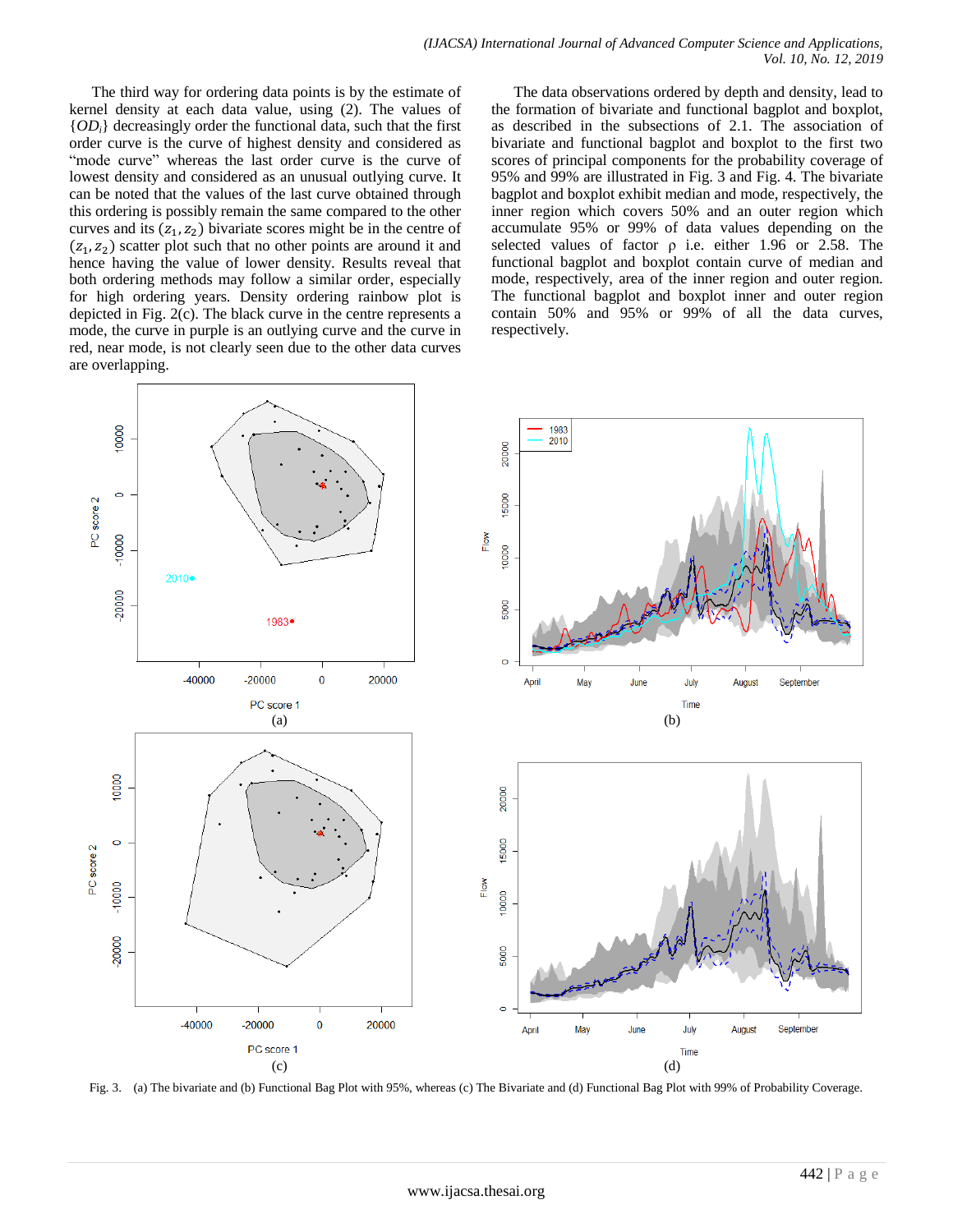The third way for ordering data points is by the estimate of kernel density at each data value, using (2). The values of  ${OD<sub>i</sub>}$  decreasingly order the functional data, such that the first order curve is the curve of highest density and considered as "mode curve" whereas the last order curve is the curve of lowest density and considered as an unusual outlying curve. It can be noted that the values of the last curve obtained through this ordering is possibly remain the same compared to the other curves and its  $(z_1, z_2)$  bivariate scores might be in the centre of  $(z_1, z_2)$  scatter plot such that no other points are around it and hence having the value of lower density. Results reveal that both ordering methods may follow a similar order, especially for high ordering years. Density ordering rainbow plot is depicted in Fig. 2(c). The black curve in the centre represents a mode, the curve in purple is an outlying curve and the curve in red, near mode, is not clearly seen due to the other data curves are overlapping.

The data observations ordered by depth and density, lead to the formation of bivariate and functional bagplot and boxplot, as described in the subsections of 2.1. The association of bivariate and functional bagplot and boxplot to the first two scores of principal components for the probability coverage of 95% and 99% are illustrated in Fig. 3 and Fig. 4. The bivariate bagplot and boxplot exhibit median and mode, respectively, the inner region which covers 50% and an outer region which accumulate 95% or 99% of data values depending on the selected values of factor  $\rho$  i.e. either 1.96 or 2.58. The functional bagplot and boxplot contain curve of median and mode, respectively, area of the inner region and outer region. The functional bagplot and boxplot inner and outer region contain 50% and 95% or 99% of all the data curves, respectively.



Fig. 3. (a) The bivariate and (b) Functional Bag Plot with 95%, whereas (c) The Bivariate and (d) Functional Bag Plot with 99% of Probability Coverage.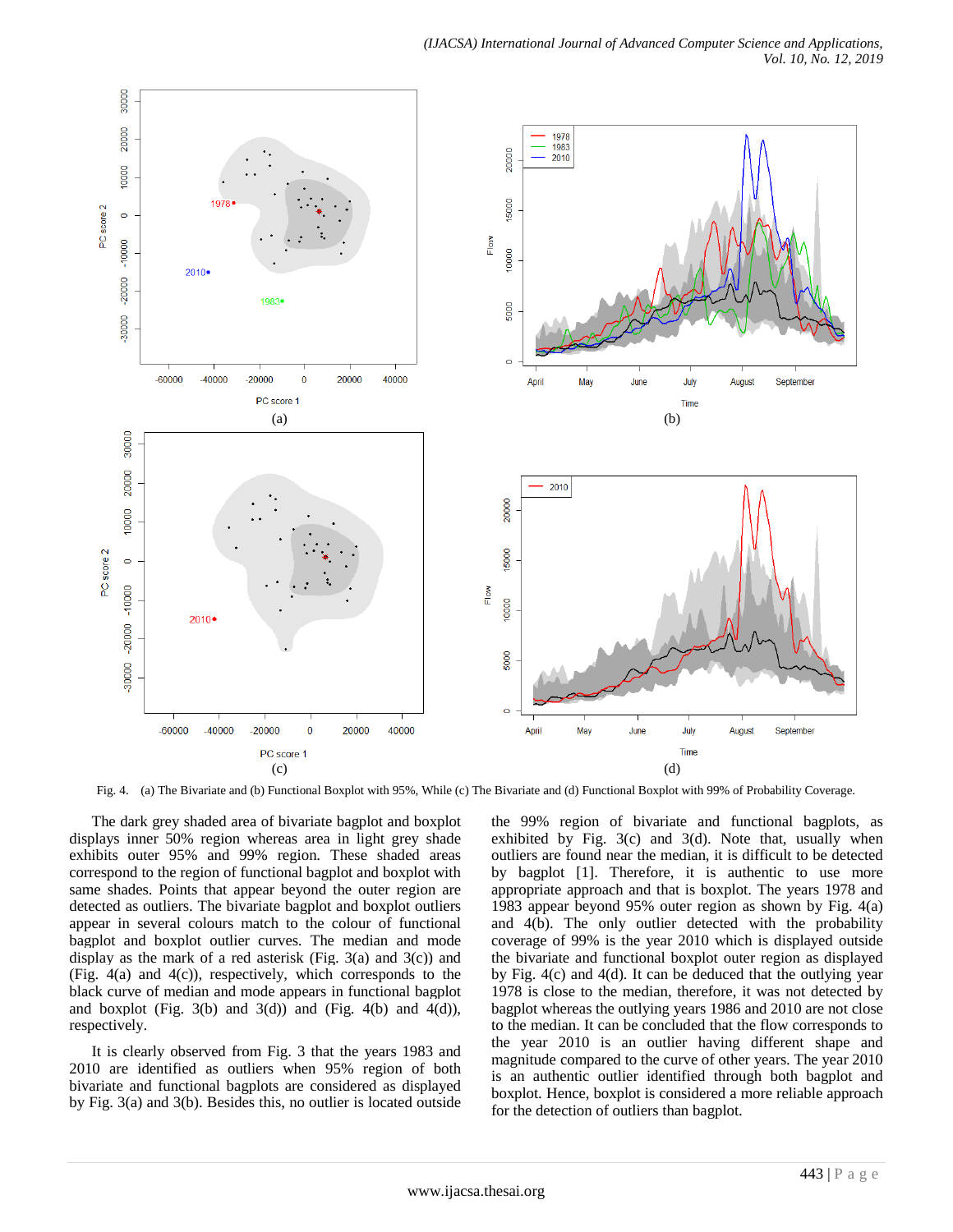

Fig. 4. (a) The Bivariate and (b) Functional Boxplot with 95%, While (c) The Bivariate and (d) Functional Boxplot with 99% of Probability Coverage.

The dark grey shaded area of bivariate bagplot and boxplot displays inner 50% region whereas area in light grey shade exhibits outer 95% and 99% region. These shaded areas correspond to the region of functional bagplot and boxplot with same shades. Points that appear beyond the outer region are detected as outliers. The bivariate bagplot and boxplot outliers appear in several colours match to the colour of functional bagplot and boxplot outlier curves. The median and mode display as the mark of a red asterisk (Fig. 3(a) and 3(c)) and (Fig. 4(a) and 4(c)), respectively, which corresponds to the black curve of median and mode appears in functional bagplot and boxplot (Fig. 3(b) and 3(d)) and (Fig. 4(b) and 4(d)), respectively.

It is clearly observed from Fig. 3 that the years 1983 and 2010 are identified as outliers when 95% region of both bivariate and functional bagplots are considered as displayed by Fig. 3(a) and 3(b). Besides this, no outlier is located outside the 99% region of bivariate and functional bagplots, as exhibited by Fig.  $3(c)$  and  $3(d)$ . Note that, usually when outliers are found near the median, it is difficult to be detected by bagplot [1]. Therefore, it is authentic to use more appropriate approach and that is boxplot. The years 1978 and 1983 appear beyond 95% outer region as shown by Fig. 4(a) and 4(b). The only outlier detected with the probability coverage of 99% is the year 2010 which is displayed outside the bivariate and functional boxplot outer region as displayed by Fig. 4(c) and 4(d). It can be deduced that the outlying year 1978 is close to the median, therefore, it was not detected by bagplot whereas the outlying years 1986 and 2010 are not close to the median. It can be concluded that the flow corresponds to the year 2010 is an outlier having different shape and magnitude compared to the curve of other years. The year 2010 is an authentic outlier identified through both bagplot and boxplot. Hence, boxplot is considered a more reliable approach for the detection of outliers than bagplot.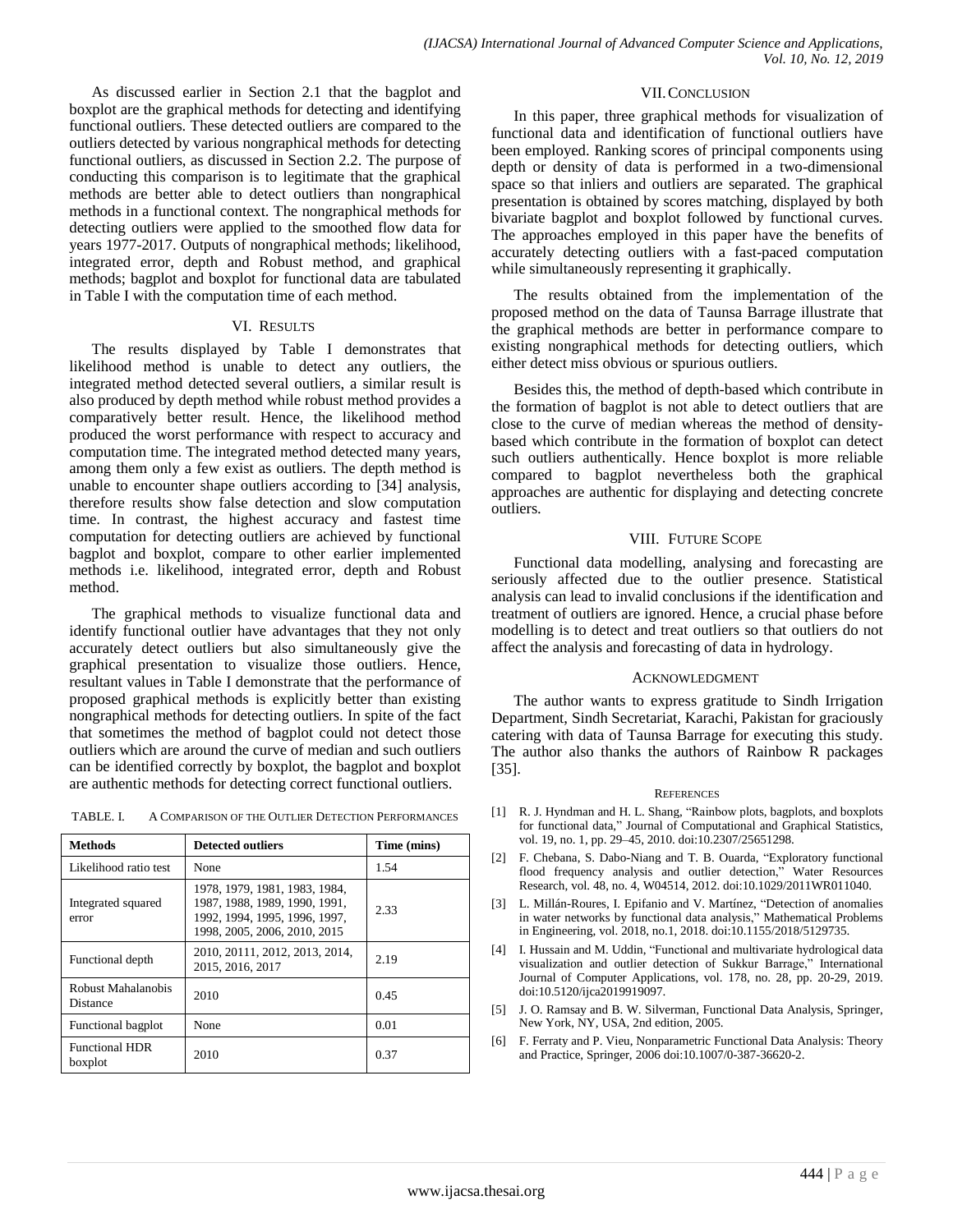As discussed earlier in Section 2.1 that the bagplot and boxplot are the graphical methods for detecting and identifying functional outliers. These detected outliers are compared to the outliers detected by various nongraphical methods for detecting functional outliers, as discussed in Section 2.2. The purpose of conducting this comparison is to legitimate that the graphical methods are better able to detect outliers than nongraphical methods in a functional context. The nongraphical methods for detecting outliers were applied to the smoothed flow data for years 1977-2017. Outputs of nongraphical methods; likelihood, integrated error, depth and Robust method, and graphical methods; bagplot and boxplot for functional data are tabulated in Table I with the computation time of each method.

#### VI. RESULTS

The results displayed by Table I demonstrates that likelihood method is unable to detect any outliers, the integrated method detected several outliers, a similar result is also produced by depth method while robust method provides a comparatively better result. Hence, the likelihood method produced the worst performance with respect to accuracy and computation time. The integrated method detected many years, among them only a few exist as outliers. The depth method is unable to encounter shape outliers according to [34] analysis, therefore results show false detection and slow computation time. In contrast, the highest accuracy and fastest time computation for detecting outliers are achieved by functional bagplot and boxplot, compare to other earlier implemented methods i.e. likelihood, integrated error, depth and Robust method.

The graphical methods to visualize functional data and identify functional outlier have advantages that they not only accurately detect outliers but also simultaneously give the graphical presentation to visualize those outliers. Hence, resultant values in Table I demonstrate that the performance of proposed graphical methods is explicitly better than existing nongraphical methods for detecting outliers. In spite of the fact that sometimes the method of bagplot could not detect those outliers which are around the curve of median and such outliers can be identified correctly by boxplot, the bagplot and boxplot are authentic methods for detecting correct functional outliers.

| TABLE. I. | A COMPARISON OF THE OUTLIER DETECTION PERFORMANCES |
|-----------|----------------------------------------------------|
|-----------|----------------------------------------------------|

| <b>Methods</b>                   | <b>Detected outliers</b>                                                                                                        | Time (mins) |
|----------------------------------|---------------------------------------------------------------------------------------------------------------------------------|-------------|
| Likelihood ratio test            | None                                                                                                                            | 1.54        |
| Integrated squared<br>error      | 1978, 1979, 1981, 1983, 1984,<br>1987, 1988, 1989, 1990, 1991,<br>1992, 1994, 1995, 1996, 1997,<br>1998, 2005, 2006, 2010, 2015 | 2.33        |
| Functional depth                 | 2010, 20111, 2012, 2013, 2014,<br>2015, 2016, 2017                                                                              | 2.19        |
| Robust Mahalanobis<br>Distance   | 2010                                                                                                                            | 0.45        |
| Functional bagplot               | None                                                                                                                            | 0.01        |
| <b>Functional HDR</b><br>boxplot | 2010                                                                                                                            | 0.37        |

#### VII.CONCLUSION

In this paper, three graphical methods for visualization of functional data and identification of functional outliers have been employed. Ranking scores of principal components using depth or density of data is performed in a two-dimensional space so that inliers and outliers are separated. The graphical presentation is obtained by scores matching, displayed by both bivariate bagplot and boxplot followed by functional curves. The approaches employed in this paper have the benefits of accurately detecting outliers with a fast-paced computation while simultaneously representing it graphically.

The results obtained from the implementation of the proposed method on the data of Taunsa Barrage illustrate that the graphical methods are better in performance compare to existing nongraphical methods for detecting outliers, which either detect miss obvious or spurious outliers.

Besides this, the method of depth-based which contribute in the formation of bagplot is not able to detect outliers that are close to the curve of median whereas the method of densitybased which contribute in the formation of boxplot can detect such outliers authentically. Hence boxplot is more reliable compared to bagplot nevertheless both the graphical approaches are authentic for displaying and detecting concrete outliers.

#### VIII. FUTURE SCOPE

Functional data modelling, analysing and forecasting are seriously affected due to the outlier presence. Statistical analysis can lead to invalid conclusions if the identification and treatment of outliers are ignored. Hence, a crucial phase before modelling is to detect and treat outliers so that outliers do not affect the analysis and forecasting of data in hydrology.

#### ACKNOWLEDGMENT

The author wants to express gratitude to Sindh Irrigation Department, Sindh Secretariat, Karachi, Pakistan for graciously catering with data of Taunsa Barrage for executing this study. The author also thanks the authors of Rainbow R packages [35].

#### **REFERENCES**

- [1] R. J. Hyndman and H. L. Shang, "Rainbow plots, bagplots, and boxplots for functional data," Journal of Computational and Graphical Statistics, vol. 19, no. 1, pp. 29–45, 2010. doi:10.2307/25651298.
- [2] F. Chebana, S. Dabo-Niang and T. B. Ouarda, "Exploratory functional flood frequency analysis and outlier detection," Water Resources Research, vol. 48, no. 4, W04514, 2012. doi:10.1029/2011WR011040.
- [3] L. Millán-Roures, I. Epifanio and V. Martínez, "Detection of anomalies in water networks by functional data analysis," Mathematical Problems in Engineering, vol. 2018, no.1, 2018. doi:10.1155/2018/5129735.
- [4] I. Hussain and M. Uddin, "Functional and multivariate hydrological data visualization and outlier detection of Sukkur Barrage," International Journal of Computer Applications, vol. 178, no. 28, pp. 20-29, 2019. doi:10.5120/ijca2019919097.
- [5] J. O. Ramsay and B. W. Silverman, Functional Data Analysis, Springer, New York, NY, USA, 2nd edition, 2005.
- [6] F. Ferraty and P. Vieu, Nonparametric Functional Data Analysis: Theory and Practice, Springer, 2006 doi:10.1007/0-387-36620-2.